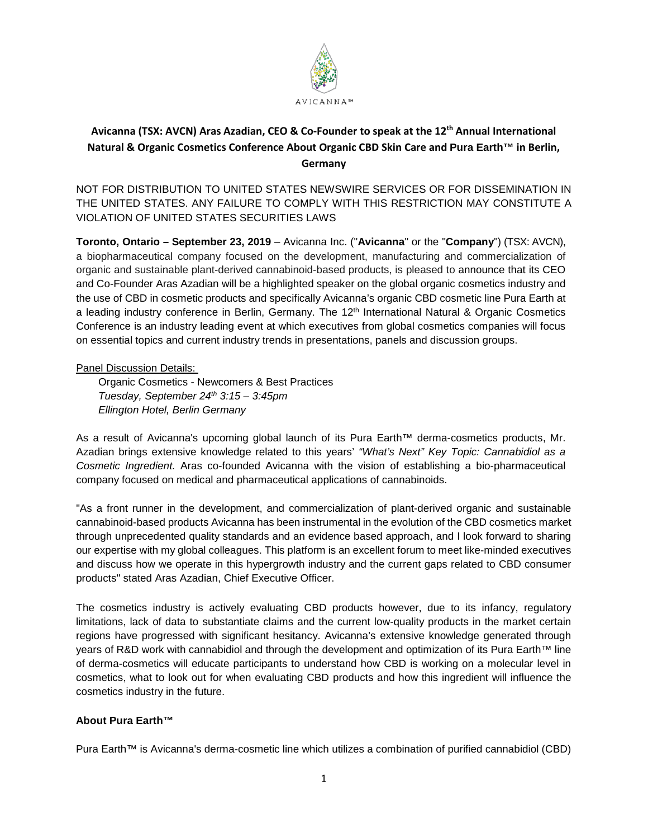

# **Avicanna (TSX: AVCN) Aras Azadian, CEO & Co-Founder to speak at the 12th Annual International Natural & Organic Cosmetics Conference About Organic CBD Skin Care and Pura Earth™ in Berlin, Germany**

NOT FOR DISTRIBUTION TO UNITED STATES NEWSWIRE SERVICES OR FOR DISSEMINATION IN THE UNITED STATES. ANY FAILURE TO COMPLY WITH THIS RESTRICTION MAY CONSTITUTE A VIOLATION OF UNITED STATES SECURITIES LAWS

**Toronto, Ontario – September 23, 2019** – Avicanna Inc. ("**Avicanna**" or the "**Company**") (TSX: AVCN), a biopharmaceutical company focused on the development, manufacturing and commercialization of organic and sustainable plant-derived cannabinoid-based products, is pleased to announce that its CEO and Co-Founder Aras Azadian will be a highlighted speaker on the global organic cosmetics industry and the use of CBD in cosmetic products and specifically Avicanna's organic CBD cosmetic line Pura Earth at a leading industry conference in Berlin, Germany. The 12<sup>th</sup> International Natural & Organic Cosmetics Conference is an industry leading event at which executives from global cosmetics companies will focus on essential topics and current industry trends in presentations, panels and discussion groups.

Panel Discussion Details:

Organic Cosmetics - Newcomers & Best Practices *Tuesday, September 24th 3:15 – 3:45pm Ellington Hotel, Berlin Germany* 

As a result of Avicanna's upcoming global launch of its Pura Earth™ derma-cosmetics products, Mr. Azadian brings extensive knowledge related to this years' *"What's Next" Key Topic: Cannabidiol as a Cosmetic Ingredient.* Aras co-founded Avicanna with the vision of establishing a bio-pharmaceutical company focused on medical and pharmaceutical applications of cannabinoids.

"As a front runner in the development, and commercialization of plant-derived organic and sustainable cannabinoid-based products Avicanna has been instrumental in the evolution of the CBD cosmetics market through unprecedented quality standards and an evidence based approach, and I look forward to sharing our expertise with my global colleagues. This platform is an excellent forum to meet like-minded executives and discuss how we operate in this hypergrowth industry and the current gaps related to CBD consumer products" stated Aras Azadian, Chief Executive Officer.

The cosmetics industry is actively evaluating CBD products however, due to its infancy, regulatory limitations, lack of data to substantiate claims and the current low-quality products in the market certain regions have progressed with significant hesitancy. Avicanna's extensive knowledge generated through years of R&D work with cannabidiol and through the development and optimization of its Pura Earth™ line of derma-cosmetics will educate participants to understand how CBD is working on a molecular level in cosmetics, what to look out for when evaluating CBD products and how this ingredient will influence the cosmetics industry in the future.

# **About Pura Earth™**

Pura Earth™ is Avicanna's derma-cosmetic line which utilizes a combination of purified cannabidiol (CBD)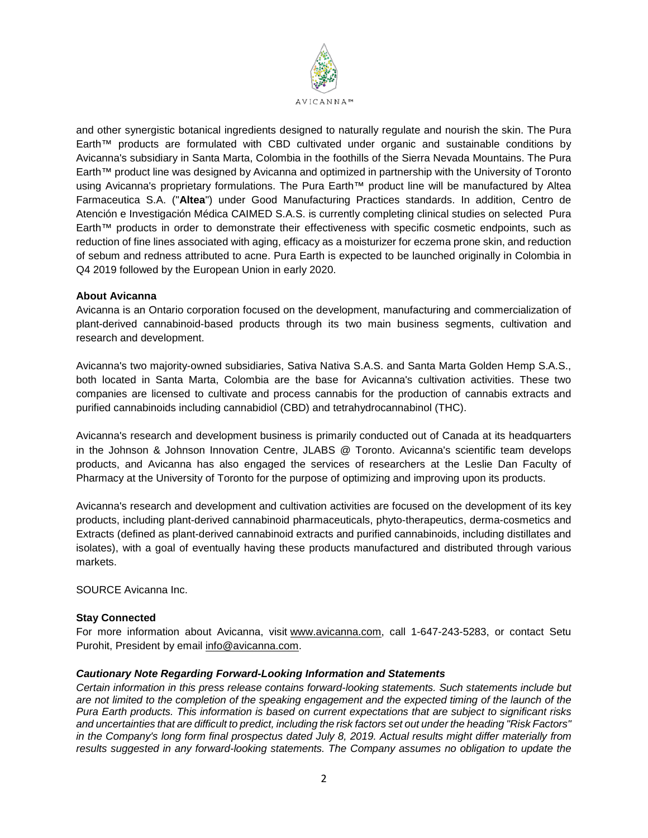

and other synergistic botanical ingredients designed to naturally regulate and nourish the skin. The Pura Earth™ products are formulated with CBD cultivated under organic and sustainable conditions by Avicanna's subsidiary in Santa Marta, Colombia in the foothills of the Sierra Nevada Mountains. The Pura Earth™ product line was designed by Avicanna and optimized in partnership with the University of Toronto using Avicanna's proprietary formulations. The Pura Earth™ product line will be manufactured by Altea Farmaceutica S.A. ("**Altea**") under Good Manufacturing Practices standards. In addition, Centro de Atención e Investigación Médica CAIMED S.A.S. is currently completing clinical studies on selected Pura Earth™ products in order to demonstrate their effectiveness with specific cosmetic endpoints, such as reduction of fine lines associated with aging, efficacy as a moisturizer for eczema prone skin, and reduction of sebum and redness attributed to acne. Pura Earth is expected to be launched originally in Colombia in Q4 2019 followed by the European Union in early 2020.

# **About Avicanna**

Avicanna is an Ontario corporation focused on the development, manufacturing and commercialization of plant-derived cannabinoid-based products through its two main business segments, cultivation and research and development.

Avicanna's two majority-owned subsidiaries, Sativa Nativa S.A.S. and Santa Marta Golden Hemp S.A.S., both located in Santa Marta, Colombia are the base for Avicanna's cultivation activities. These two companies are licensed to cultivate and process cannabis for the production of cannabis extracts and purified cannabinoids including cannabidiol (CBD) and tetrahydrocannabinol (THC).

Avicanna's research and development business is primarily conducted out of Canada at its headquarters in the Johnson & Johnson Innovation Centre, JLABS @ Toronto. Avicanna's scientific team develops products, and Avicanna has also engaged the services of researchers at the Leslie Dan Faculty of Pharmacy at the University of Toronto for the purpose of optimizing and improving upon its products.

Avicanna's research and development and cultivation activities are focused on the development of its key products, including plant-derived cannabinoid pharmaceuticals, phyto-therapeutics, derma-cosmetics and Extracts (defined as plant-derived cannabinoid extracts and purified cannabinoids, including distillates and isolates), with a goal of eventually having these products manufactured and distributed through various markets.

### SOURCE Avicanna Inc.

# **Stay Connected**

For more information about Avicanna, visit [www.avicanna.com,](http://www.avicanna.com/) call 1-647-243-5283, or contact Setu Purohit, President by email [info@avicanna.com.](mailto:info@avicanna.com)

### *Cautionary Note Regarding Forward-Looking Information and Statements*

*Certain information in this press release contains forward-looking statements. Such statements include but are not limited to the completion of the speaking engagement and the expected timing of the launch of the Pura Earth products. This information is based on current expectations that are subject to significant risks and uncertainties that are difficult to predict, including the risk factors set out under the heading "Risk Factors" in the Company's long form final prospectus dated July 8, 2019. Actual results might differ materially from results suggested in any forward-looking statements. The Company assumes no obligation to update the*